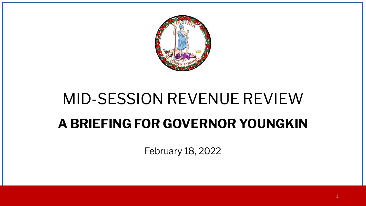

# MID-SESSION REVENUE REVIEW **A BRIEFING FOR GOVERNOR YOUNGKIN**

February 18, 2022

1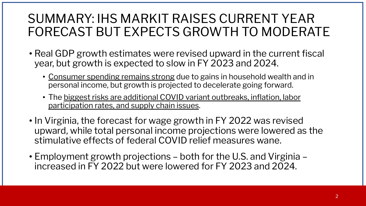### SUMMARY: IHS MARKIT RAISES CURRENT YEAR FORECAST BUT EXPECTS GROWTH TO MODERATE

- Real GDP growth estimates were revised upward in the current fiscal year, but growth is expected to slow in FY 2023 and 2024.
	- Consumer spending remains strong due to gains in household wealth and in personal income, but growth is projected to decelerate going forward.
	- The biggest risks are additional COVID variant outbreaks, inflation, labor participation rates, and supply chain issues.
- In Virginia, the forecast for wage growth in FY 2022 was revised upward, while total personal income projections were lowered as the stimulative effects of federal COVID relief measures wane.
- Employment growth projections both for the U.S. and Virginia increased in FY 2022 but were lowered for FY 2023 and 2024.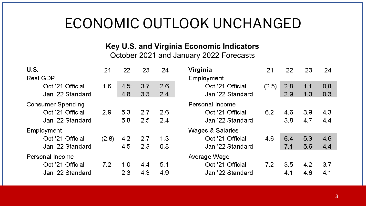# ECONOMIC OUTLOOK UNCHANGED

### **Key U.S. and Virginia Economic Indicators**

October 2021 and January 2022 Forecasts

| U.S.                     | 21    | 22  | 23  | 24  | Virginia         | 21    | 22  | 23  | 24  |
|--------------------------|-------|-----|-----|-----|------------------|-------|-----|-----|-----|
| <b>Real GDP</b>          |       |     |     |     | Employment       |       |     |     |     |
| Oct '21 Official         | 1.6   | 4.5 | 3.7 | 2.6 | Oct '21 Official | (2.5) | 2.8 | 1.1 | 0.8 |
| Jan '22 Standard         |       | 4.8 | 3.3 | 2.4 | Jan '22 Standard |       | 2.9 | 1.0 | 0.3 |
| <b>Consumer Spending</b> |       |     |     |     | Personal Income  |       |     |     |     |
| Oct '21 Official         | 2.9   | 5.3 | 2.7 | 2.6 | Oct '21 Official | 6.2   | 4.6 | 3.9 | 4.3 |
| Jan '22 Standard         |       | 5.8 | 2.5 | 2.4 | Jan '22 Standard |       | 3.8 | 4.7 | 4.4 |
| Employment               |       |     |     |     | Wages & Salaries |       |     |     |     |
| Oct '21 Official         | (2.8) | 4.2 | 2.7 | 1.3 | Oct '21 Official | 4.6   | 6.4 | 5.3 | 4.6 |
| Jan '22 Standard         |       | 4.5 | 2.3 | 0.8 | Jan '22 Standard |       | 7.1 | 5.6 | 4.4 |
| Personal Income          |       |     |     |     | Average Wage     |       |     |     |     |
| Oct '21 Official         | 7.2   | 1.0 | 4.4 | 5.1 | Oct '21 Official | 7.2   | 3.5 | 4.2 | 3.7 |
| Jan '22 Standard         |       | 2.3 | 4.3 | 4.9 | Jan '22 Standard |       | 4.1 | 4.6 | 4.1 |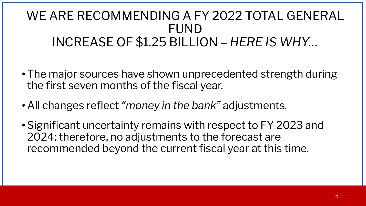### WE ARE RECOMMENDING A FY 2022 TOTAL GENERAL FUND INCREASE OF \$1.25 BILLION – *HERE IS WHY…*

- The major sources have shown unprecedented strength during the first seven months of the fiscal year.
- •All changes reflect *"money in the bank"* adjustments.
- •Significant uncertainty remains with respect to FY 2023 and 2024; therefore, no adjustments to the forecast are recommended beyond the current fiscal year at this time.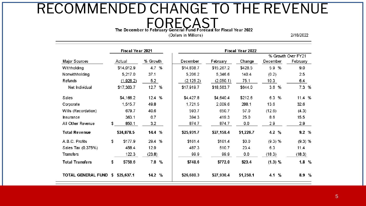# RECOMMENDED CHANGE TO THE REVENUE The December to February General Fund Forecast for Fiscal Year 2022

(Dollars in Millions)

2/18/2022

|                        | Fiscal Year 2021 |            |          | Fiscal Year 2022 |            |            |           |          |                                |      |
|------------------------|------------------|------------|----------|------------------|------------|------------|-----------|----------|--------------------------------|------|
| Major Sources          |                  | Actual     | % Growth |                  | December   | February   | Change    | December | % Growth Over FY21<br>February |      |
| Withholding            |                  | \$14,012.9 | 4.7 %    |                  | \$14,838.7 | \$15,267.2 | \$428.5   | 5.9 %    | 9.0                            |      |
| Nonwithholding         |                  | 5,217.0    | 37.1     |                  | 5,206.2    | 5,346.6    | 140.4     | (0.2)    | 2.5                            |      |
| Refunds                |                  | (1.926.2)  | 5.2      |                  | (2, 125.2) | (2,050.1)  | 75.1      | 10.3     | 6.4                            |      |
| Net Individual         |                  | \$17,303.7 | 12.7 %   |                  | \$17,919.7 | \$18,563.7 | \$644.0   | 3.6%     |                                | 7.3% |
| Sales                  |                  | \$4,166.2  | 12.4 %   |                  | \$4,427.8  | \$4,640.4  | \$212.6   | 6.3<br>% | 11.4 %                         |      |
| Corporate              |                  | 1,515.7    | 49.8     |                  | 1,721.5    | 2,009.6    | 288.1     | 13.6     | 32.6                           |      |
| Wills (Recordation)    |                  | 679.7      | 40.6     |                  | 593.7      | 650.7      | 57.0      | (12.6)   | (4.3)                          |      |
| <b>Insurance</b>       |                  | 363.1      | 0.7      |                  | 394.3      | 419.3      | 25.0      | 8.6      | 15.5                           |      |
| All Other Revenue      | \$               | 850.1      | 3.2      |                  | 874.7      | 874.7      | 0.0       | 2.9      | 2.9                            |      |
| <b>Total Revenue</b>   |                  | \$24,878.5 | 14.4 %   |                  | \$25,931.7 | \$27,158.4 | \$1,226.7 | 4.2 %    |                                | 9.2% |
| A.B.C. Profits         | \$               | \$177.9    | 29.4 %   |                  | \$161.4    | \$161.4    | \$0.0     | (9.3) %  | (9.3) %                        |      |
| Sales Tax (0.375%)     |                  | 458.4      | 12.9     |                  | 487.3      | 510.7      | 23.4      | 6.3      | 11.4                           |      |
| <b>Transfers</b>       |                  | 122.3      | (23.8)   |                  | 99.9       | 99.9       | 0.0       | (18.3)   | (18.3)                         |      |
| <b>Total Transfers</b> | \$               | \$758.6    | 7.8      | %                | \$748.6    | \$772.0    | \$23.4    | (1.3) %  |                                | 1.8% |
| TOTAL GENERAL FUND     | S.               | \$25,637.1 | 14.2%    |                  | \$26,680.3 | \$27,930.4 | \$1,250.1 | %<br>4.1 |                                | 8.9% |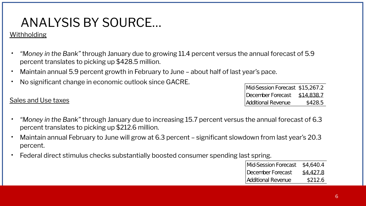### ANALYSIS BY SOURCE…

#### **Withholding**

- *• "Money in the Bank"* through January due to growing 11.4 percent versus the annual forecast of 5.9 percent translates to picking up \$428.5 million.
- Maintain annual 5.9 percent growth in February to June about half of last year's pace.
- No significant change in economic outlook since GACRE.

Sales and Use taxes

- Mid-Session Forecast \$15,267.2 December Forecast \$14,838.7 **Additional Revenue** \$428.5
- *• "Money in the Bank"* through January due to increasing 15.7 percent versus the annual forecast of 6.3 percent translates to picking up \$212.6 million.
- Maintain annual February to June will grow at 6.3 percent significant slowdown from last year's 20.3 percent.
- Federal direct stimulus checks substantially boosted consumer spending last spring.

| Mid-Session Forecast \$4,640.4 |           |
|--------------------------------|-----------|
| December Forecast              | \$4,427.8 |
| Additional Revenue             | \$212.6   |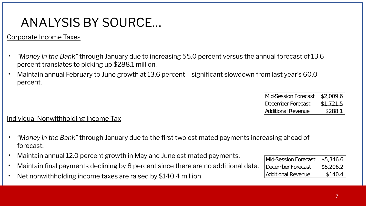### ANALYSIS BY SOURCE…

#### Corporate Income Taxes

- *• "Money in the Bank"* through January due to increasing 55.0 percent versus the annual forecast of 13.6 percent translates to picking up \$288.1 million.
- Maintain annual February to June growth at 13.6 percent significant slowdown from last year's 60.0 percent.

| Mid-Session Forecast \$2,009.6 |           |
|--------------------------------|-----------|
| December Forecast              | \$1,721.5 |
| Additional Revenue             | \$288.1   |

#### Individual Nonwithholding Income Tax

- *• "Money in the Bank"* through January due to the first two estimated payments increasing ahead of forecast.
- Maintain annual 12.0 percent growth in May and June estimated payments.
- Maintain final payments declining by 8 percent since there are no additional data.
- Net nonwithholding income taxes are raised by \$140.4 million

| Mid-Session Forecast | \$5,346.6 |
|----------------------|-----------|
| December Forecast    | \$5,206.2 |
| Additional Revenue   | \$140.4   |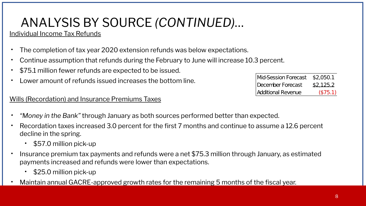### ANALYSIS BY SOURCE *(CONTINUED)*…

#### Individual Income Tax Refunds

- The completion of tax year 2020 extension refunds was below expectations.
- Continue assumption that refunds during the February to June will increase 10.3 percent.
- \$75.1 million fewer refunds are expected to be issued.
- Lower amount of refunds issued increases the bottom line.

#### Wills (Recordation) and Insurance Premiums Taxes

- *• "Money in the Bank"* through January as both sources performed better than expected.
- Recordation taxes increased 3.0 percent for the first 7 months and continue to assume a 12.6 percent decline in the spring.
	- \$57.0 million pick-up
- Insurance premium tax payments and refunds were a net \$75.3 million through January, as estimated payments increased and refunds were lower than expectations.
	- \$25.0 million pick-up
- Maintain annual GACRE-approved growth rates for the remaining 5 months of the fiscal year.

| Mid-Session Forecast \$2,050.1 |           |
|--------------------------------|-----------|
| December Forecast              | \$2,125.2 |
| <b>Additional Revenue</b>      | (575.1)   |